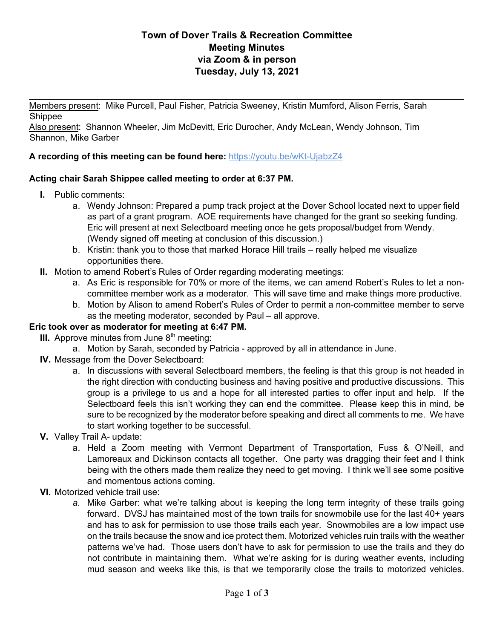## **Town of Dover Trails & Recreation Committee Meeting Minutes via Zoom & in person Tuesday, July 13, 2021**

Members present: Mike Purcell, Paul Fisher, Patricia Sweeney, Kristin Mumford, Alison Ferris, Sarah Shippee

Also present: Shannon Wheeler, Jim McDevitt, Eric Durocher, Andy McLean, Wendy Johnson, Tim Shannon, Mike Garber

### **A recording of this meeting can be found here:** https://youtu.be/wKt-UjabzZ4

### **Acting chair Sarah Shippee called meeting to order at 6:37 PM.**

- **I.** Public comments:
	- a. Wendy Johnson: Prepared a pump track project at the Dover School located next to upper field as part of a grant program. AOE requirements have changed for the grant so seeking funding. Eric will present at next Selectboard meeting once he gets proposal/budget from Wendy. (Wendy signed off meeting at conclusion of this discussion.)

 $\frac{1}{2}$ 

- b. Kristin: thank you to those that marked Horace Hill trails really helped me visualize opportunities there.
- **II.** Motion to amend Robert's Rules of Order regarding moderating meetings:
	- a. As Eric is responsible for 70% or more of the items, we can amend Robert's Rules to let a noncommittee member work as a moderator. This will save time and make things more productive.
	- b. Motion by Alison to amend Robert's Rules of Order to permit a non-committee member to serve as the meeting moderator, seconded by Paul – all approve.

#### **Eric took over as moderator for meeting at 6:47 PM.**

- **III.** Approve minutes from June  $8<sup>th</sup>$  meeting:
	- a. Motion by Sarah, seconded by Patricia approved by all in attendance in June.
- **IV.** Message from the Dover Selectboard:
	- a. In discussions with several Selectboard members, the feeling is that this group is not headed in the right direction with conducting business and having positive and productive discussions. This group is a privilege to us and a hope for all interested parties to offer input and help. If the Selectboard feels this isn't working they can end the committee. Please keep this in mind, be sure to be recognized by the moderator before speaking and direct all comments to me. We have to start working together to be successful.
- **V.** Valley Trail A- update:
	- a. Held a Zoom meeting with Vermont Department of Transportation, Fuss & O'Neill, and Lamoreaux and Dickinson contacts all together. One party was dragging their feet and I think being with the others made them realize they need to get moving. I think we'll see some positive and momentous actions coming.
- **VI.** Motorized vehicle trail use:
	- *a.* Mike Garber: what we're talking about is keeping the long term integrity of these trails going forward. DVSJ has maintained most of the town trails for snowmobile use for the last 40+ years and has to ask for permission to use those trails each year. Snowmobiles are a low impact use on the trails because the snow and ice protect them. Motorized vehicles ruin trails with the weather patterns we've had. Those users don't have to ask for permission to use the trails and they do not contribute in maintaining them. What we're asking for is during weather events, including mud season and weeks like this, is that we temporarily close the trails to motorized vehicles.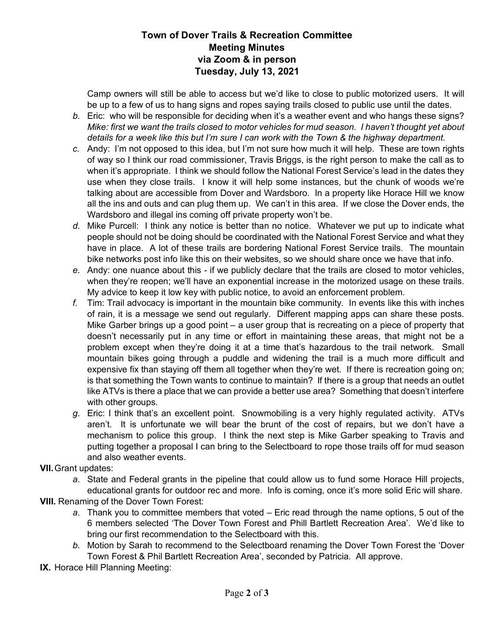## **Town of Dover Trails & Recreation Committee Meeting Minutes via Zoom & in person Tuesday, July 13, 2021**

Camp owners will still be able to access but we'd like to close to public motorized users. It will be up to a few of us to hang signs and ropes saying trails closed to public use until the dates.

- *b.* Eric: who will be responsible for deciding when it's a weather event and who hangs these signs? *Mike: first we want the trails closed to motor vehicles for mud season. I haven't thought yet about details for a week like this but I'm sure I can work with the Town & the highway department.*
- *c.* Andy: I'm not opposed to this idea, but I'm not sure how much it will help. These are town rights of way so I think our road commissioner, Travis Briggs, is the right person to make the call as to when it's appropriate. I think we should follow the National Forest Service's lead in the dates they use when they close trails. I know it will help some instances, but the chunk of woods we're talking about are accessible from Dover and Wardsboro. In a property like Horace Hill we know all the ins and outs and can plug them up. We can't in this area. If we close the Dover ends, the Wardsboro and illegal ins coming off private property won't be.
- *d.* Mike Purcell: I think any notice is better than no notice. Whatever we put up to indicate what people should not be doing should be coordinated with the National Forest Service and what they have in place. A lot of these trails are bordering National Forest Service trails. The mountain bike networks post info like this on their websites, so we should share once we have that info.
- *e.* Andy: one nuance about this if we publicly declare that the trails are closed to motor vehicles, when they're reopen; we'll have an exponential increase in the motorized usage on these trails. My advice to keep it low key with public notice, to avoid an enforcement problem.
- *f.* Tim: Trail advocacy is important in the mountain bike community. In events like this with inches of rain, it is a message we send out regularly. Different mapping apps can share these posts. Mike Garber brings up a good point – a user group that is recreating on a piece of property that doesn't necessarily put in any time or effort in maintaining these areas, that might not be a problem except when they're doing it at a time that's hazardous to the trail network. Small mountain bikes going through a puddle and widening the trail is a much more difficult and expensive fix than staying off them all together when they're wet. If there is recreation going on; is that something the Town wants to continue to maintain? If there is a group that needs an outlet like ATVs is there a place that we can provide a better use area? Something that doesn't interfere with other groups.
- *g.* Eric: I think that's an excellent point. Snowmobiling is a very highly regulated activity. ATVs aren't. It is unfortunate we will bear the brunt of the cost of repairs, but we don't have a mechanism to police this group. I think the next step is Mike Garber speaking to Travis and putting together a proposal I can bring to the Selectboard to rope those trails off for mud season and also weather events.

**VII.**Grant updates:

*a.* State and Federal grants in the pipeline that could allow us to fund some Horace Hill projects, educational grants for outdoor rec and more. Info is coming, once it's more solid Eric will share.

**VIII.** Renaming of the Dover Town Forest:

- *a.* Thank you to committee members that voted Eric read through the name options, 5 out of the 6 members selected 'The Dover Town Forest and Phill Bartlett Recreation Area'. We'd like to bring our first recommendation to the Selectboard with this.
- *b.* Motion by Sarah to recommend to the Selectboard renaming the Dover Town Forest the 'Dover Town Forest & Phil Bartlett Recreation Area', seconded by Patricia. All approve.
- **IX.** Horace Hill Planning Meeting: